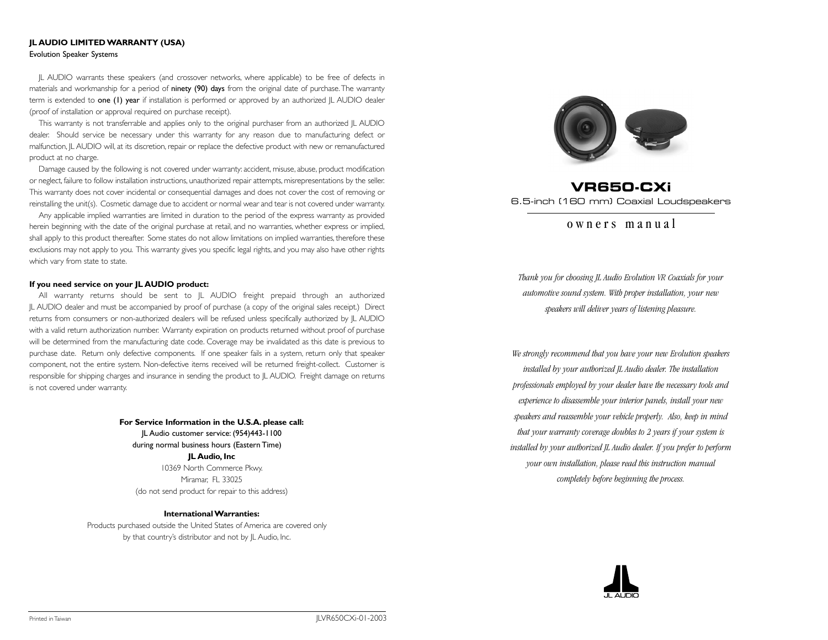# **JL AUDIO LIMITED WARRANTY (USA)**  Evolution Speaker Systems

JL AUDIO warrants these speakers (and crossover networks, where applicable) to be free of defects in materials and workmanship for a period of ninety (90) days from the original date of purchase. The warranty term is extended to one (1) year if installation is performed or approved by an authorized  $|L \text{ AUDIO}$  dealer (proof of installation or approval required on purchase receipt).

This warranty is not transferrable and applies only to the original purchaser from an authorized JL AUDIO dealer. Should service be necessary under this warranty for any reason due to manufacturing defect or malfunction, JL AUDIO will, at its discretion, repair or replace the defective product with new or remanufactured product at no charge.

Damage caused by the following is not covered under warranty: accident, misuse, abuse, product modification or neglect, failure to follow installation instructions, unauthorized repair attempts, misrepresentations by the seller. This warranty does not cover incidental or consequential damages and does not cover the cost of removing or reinstalling the unit(s). Cosmetic damage due to accident or normal wear and tear is not covered under warranty.

Any applicable implied warranties are limited in duration to the period of the express warranty as provided herein beginning with the date of the original purchase at retail, and no warranties, whether express or implied, shall apply to this product thereafter. Some states do not allow limitations on implied warranties, therefore these exclusions may not apply to you. This warranty gives you specific legal rights, and you may also have other rights which vary from state to state.

#### **If you need service on your JL AUDIO product:**

All warranty returns should be sent to JL AUDIO freight prepaid through an authorized JL AUDIO dealer and must be accompanied by proof of purchase (a copy of the original sales receipt.) Direct returns from consumers or non-authorized dealers will be refused unless specifically authorized by JL AUDIO with a valid return authorization number. Warranty expiration on products returned without proof of purchase will be determined from the manufacturing date code. Coverage may be invalidated as this date is previous to purchase date. Return only defective components. If one speaker fails in a system, return only that speaker component, not the entire system. Non-defective items received will be returned freight-collect. Customer is responsible for shipping charges and insurance in sending the product to JL AUDIO. Freight damage on returns is not covered under warranty.

> **For Service Information in the U.S.A. please call:** JL Audio customer service: (954)443-1100 during normal business hours (Eastern Time) **JL Audio, Inc** 10369 North Commerce Pkwy. Miramar, FL 33025 (do not send product for repair to this address)

**International Warranties:** Products purchased outside the United States of America are covered only by that country's distributor and not by JL Audio, Inc.



# **VR650-CXi** 6.5-inch (160 mm) Coaxial Loudspeakers

# owners manual

*Thank you for choosing JL Audio Evolution VR Coaxials for your automotive sound system. With proper installation, your new speakers will deliver years of listening pleasure.*

*We strongly recommend that you have your new Evolution speakers installed by your authorized JL Audio dealer. The installation professionals employed by your dealer have the necessary tools and experience to disassemble your interior panels, install your new speakers and reassemble your vehicle properly. Also, keep in mind that your warranty coverage doubles to 2 years if your system is installed by your authorized JL Audio dealer. If you prefer to perform your own installation, please read this instruction manual completely before beginning the process.*